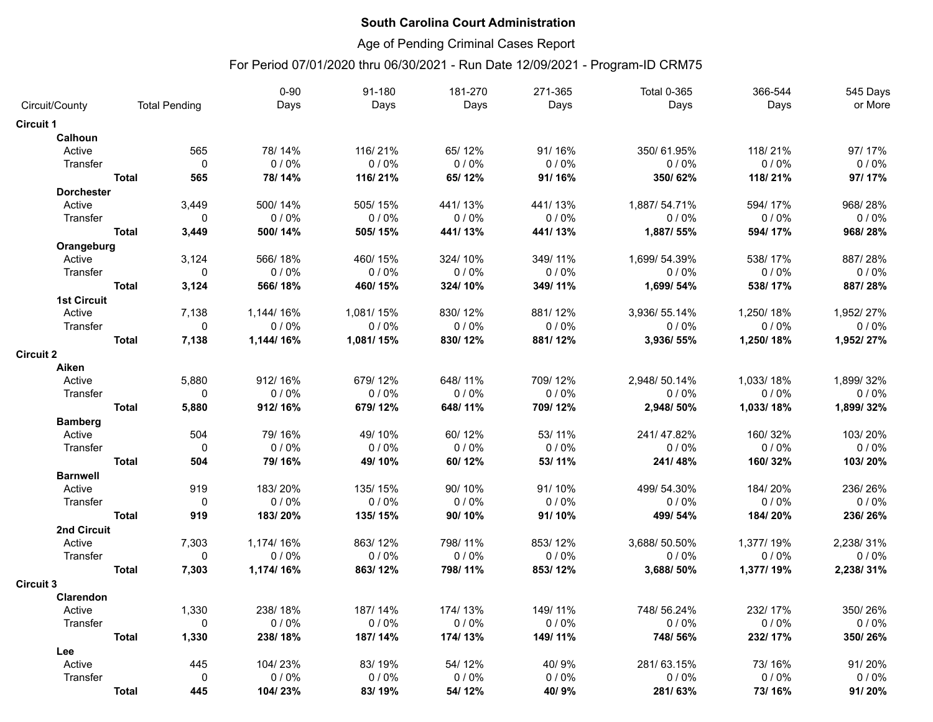## Age of Pending Criminal Cases Report

| Days<br>Days<br>Days<br>Days<br>Days<br>Circuit/County<br><b>Total Pending</b>                  | or More<br>Days |
|-------------------------------------------------------------------------------------------------|-----------------|
| <b>Circuit 1</b>                                                                                |                 |
| <b>Calhoun</b>                                                                                  |                 |
| 565<br>78/14%<br>116/21%<br>65/12%<br>91/16%<br>350/61.95%<br>118/21%<br>Active                 | 97/17%          |
| $\mathbf{0}$<br>0/0%<br>0/0%<br>0/0%<br>0/0%<br>0/0%<br>Transfer                                | 0/0%<br>0/0%    |
| <b>Total</b><br>565<br>78/14%<br>116/21%<br>65/12%<br>91/16%<br>350/62%<br>118/21%              | 97/17%          |
| <b>Dorchester</b>                                                                               |                 |
| 3,449<br>500/14%<br>505/15%<br>441/13%<br>441/13%<br>1,887/54.71%<br>594/17%<br>Active          | 968/28%         |
| $0/0\%$<br>0/0%<br>0/0%<br>Transfer<br>$\mathbf{0}$<br>0/0%<br>0/0%                             | 0/0%<br>0/0%    |
| 3,449<br>441/13%<br><b>Total</b><br>500/14%<br>505/15%<br>441/13%<br>1,887/55%<br>594/17%       | 968/28%         |
| Orangeburg                                                                                      |                 |
| Active<br>3,124<br>566/18%<br>460/15%<br>324/10%<br>349/11%<br>1,699/ 54.39%<br>538/17%         | 887/28%         |
| Transfer<br>$\pmb{0}$<br>$0/0\%$<br>0/0%<br>0/0%<br>0/0%<br>0/0%                                | 0/0%<br>0/0%    |
| 3,124<br>349/11%<br>1,699/54%<br><b>Total</b><br>566/18%<br>460/15%<br>324/10%<br>538/17%       | 887/28%         |
| <b>1st Circuit</b>                                                                              |                 |
| Active<br>7,138<br>1,144/16%<br>1,081/15%<br>830/12%<br>881/12%<br>3,936/55.14%<br>1,250/18%    | 1,952/27%       |
| 0/0%<br>0/0%<br>0/0%<br>0/0%<br>0/0%<br>Transfer<br>$\Omega$                                    | 0/0%<br>0/0%    |
| <b>Total</b><br>7,138<br>830/12%<br>881/12%<br>1,144/16%<br>1,081/15%<br>3,936/55%<br>1,250/18% | 1,952/27%       |
| <b>Circuit 2</b>                                                                                |                 |
| Aiken                                                                                           |                 |
| 5,880<br>912/16%<br>679/12%<br>648/11%<br>709/12%<br>2,948/50.14%<br>1,033/18%<br>Active        | 1,899/32%       |
| $0/0\%$<br>0/0%<br>0/0%<br>0/0%<br>0/0%<br>Transfer<br>0                                        | 0/0%<br>0/0%    |
| <b>Total</b><br>709/12%<br>5,880<br>912/16%<br>679/12%<br>648/11%<br>2,948/50%<br>1,033/18%     | 1,899/32%       |
| <b>Bamberg</b>                                                                                  |                 |
| 79/16%<br>53/11%<br>Active<br>504<br>49/10%<br>60/12%<br>241/47.82%<br>160/32%                  | 103/20%         |
| $\pmb{0}$<br>0/0%<br>0/0%<br>0/0%<br>0/0%<br>Transfer<br>0/0%                                   | 0/0%<br>0/0%    |
| 504<br>53/11%<br><b>Total</b><br>79/16%<br>49/10%<br>60/12%<br>241/48%<br>160/32%               | 103/20%         |
| <b>Barnwell</b>                                                                                 |                 |
| Active<br>919<br>183/20%<br>135/15%<br>90/10%<br>91/10%<br>499/54.30%<br>184/20%                | 236/26%         |
| $0/0\%$<br>0/0%<br>0/0%<br>Transfer<br>0<br>0/0%<br>0/0%                                        | 0/0%<br>0/0%    |
| 919<br><b>Total</b><br>183/20%<br>135/15%<br>90/10%<br>91/10%<br>499/54%<br>184/20%             | 236/26%         |
| 2nd Circuit<br>7,303<br>1,174/16%<br>863/12%<br>798/11%<br>853/12%<br>3,688/50.50%<br>1,377/19% | 2,238/31%       |
| Active<br>0/0%<br>0/0%<br>0/0%<br>0/0%<br>0/0%<br>Transfer<br>0                                 | 0/0%<br>0/0%    |
| <b>Total</b>                                                                                    |                 |
| 7,303<br>1,174/16%<br>863/12%<br>798/11%<br>853/12%<br>3,688/50%<br>1,377/19%                   | 2,238/31%       |
| <b>Circuit 3</b><br>Clarendon                                                                   |                 |
| 1,330<br>187/14%<br>174/13%<br>149/11%<br>748/56.24%<br>232/17%<br>238/18%<br>Active            | 350/26%         |
| 0/0%<br>0/0%<br>0/0%<br>Transfer<br>$\mathbf 0$<br>0/0%<br>0/0%                                 | 0/0%<br>0/0%    |
| 149/11%<br><b>Total</b><br>1,330<br>238/18%<br>187/14%<br>174/13%<br>748/56%<br>232/17%         | 350/26%         |
| Lee                                                                                             |                 |
| Active<br>445<br>104/23%<br>83/19%<br>54/12%<br>40/9%<br>281/63.15%<br>73/16%                   | 91/20%          |
| Transfer<br>$\Omega$<br>0/0%<br>0/0%<br>0/0%<br>0/0%<br>0/0%                                    | 0/0%<br>0/0%    |
| 445<br>104/23%<br>83/19%<br>54/12%<br>40/9%<br>281/63%<br>73/16%<br><b>Total</b>                | 91/20%          |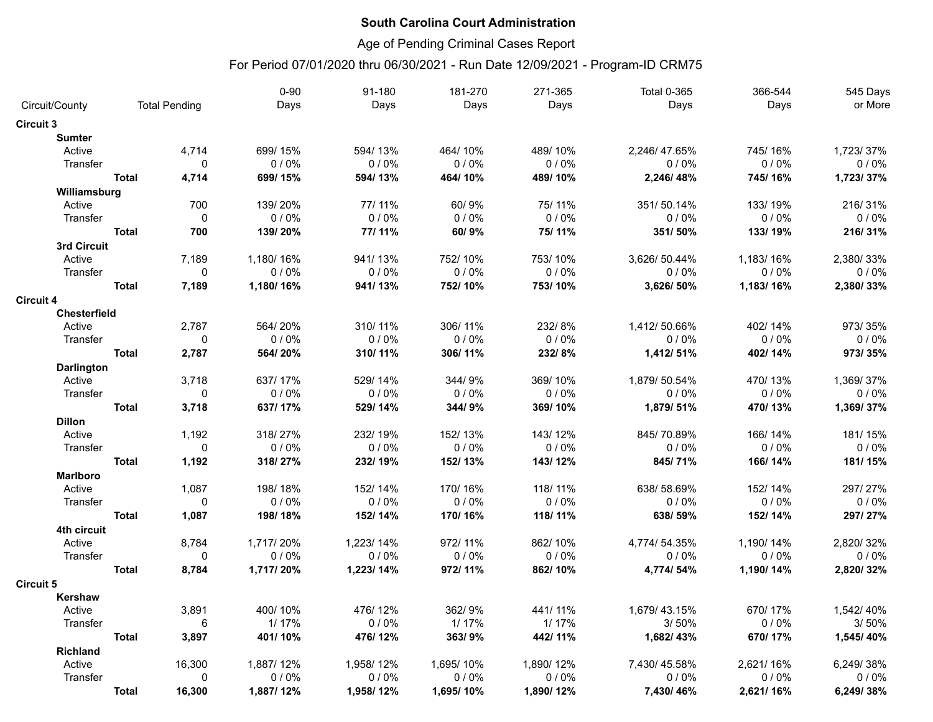## Age of Pending Criminal Cases Report

|                    |              |                      | $0 - 90$  | 91-180    | 181-270   | 271-365   | <b>Total 0-365</b> | 366-544   | 545 Days  |
|--------------------|--------------|----------------------|-----------|-----------|-----------|-----------|--------------------|-----------|-----------|
| Circuit/County     |              | <b>Total Pending</b> | Days      | Days      | Days      | Days      | Days               | Days      | or More   |
| <b>Circuit 3</b>   |              |                      |           |           |           |           |                    |           |           |
| <b>Sumter</b>      |              |                      |           |           |           |           |                    |           |           |
| Active             |              | 4,714                | 699/15%   | 594/13%   | 464/10%   | 489/10%   | 2,246/47.65%       | 745/16%   | 1,723/37% |
| Transfer           |              | $\mathbf 0$          | 0/0%      | 0/0%      | 0/0%      | 0/0%      | 0/0%               | 0/0%      | 0/0%      |
|                    | <b>Total</b> | 4,714                | 699/15%   | 594/13%   | 464/10%   | 489/10%   | 2,246/48%          | 745/16%   | 1,723/37% |
| Williamsburg       |              |                      |           |           |           |           |                    |           |           |
| Active             |              | 700                  | 139/20%   | 77/11%    | 60/9%     | 75/11%    | 351/50.14%         | 133/19%   | 216/31%   |
| Transfer           |              | $\mathbf 0$          | 0/0%      | 0/0%      | 0/0%      | 0/0%      | 0/0%               | 0/0%      | 0/0%      |
|                    | <b>Total</b> | 700                  | 139/20%   | 77/11%    | 60/9%     | 75/11%    | 351/50%            | 133/19%   | 216/31%   |
| 3rd Circuit        |              |                      |           |           |           |           |                    |           |           |
| Active             |              | 7,189                | 1,180/16% | 941/13%   | 752/10%   | 753/10%   | 3,626/50.44%       | 1,183/16% | 2,380/33% |
| Transfer           |              | $\mathbf 0$          | 0/0%      | 0/0%      | 0/0%      | 0/0%      | 0/0%               | 0/0%      | 0/0%      |
|                    | <b>Total</b> | 7,189                | 1,180/16% | 941/13%   | 752/10%   | 753/10%   | 3,626/50%          | 1,183/16% | 2,380/33% |
| <b>Circuit 4</b>   |              |                      |           |           |           |           |                    |           |           |
| Chesterfield       |              |                      |           |           |           |           |                    |           |           |
| Active             |              | 2,787                | 564/20%   | 310/11%   | 306/11%   | 232/8%    | 1,412/50.66%       | 402/14%   | 973/35%   |
| Transfer           |              | $\mathbf 0$          | 0/0%      | 0/0%      | 0/0%      | 0/0%      | 0/0%               | 0/0%      | $0/0\%$   |
|                    | <b>Total</b> | 2,787                | 564/20%   | 310/11%   | 306/11%   | 232/8%    | 1,412/51%          | 402/14%   | 973/35%   |
| <b>Darlington</b>  |              |                      |           |           |           |           |                    |           |           |
| Active             |              | 3,718                | 637/17%   | 529/14%   | 344/9%    | 369/10%   | 1,879/50.54%       | 470/13%   | 1,369/37% |
| Transfer           |              | $\mathbf 0$          | 0/0%      | 0/0%      | 0/0%      | 0/0%      | 0/0%               | 0/0%      | 0/0%      |
|                    | <b>Total</b> | 3,718                | 637/17%   | 529/14%   | 344/9%    | 369/10%   | 1,879/51%          | 470/13%   | 1,369/37% |
| <b>Dillon</b>      |              |                      |           |           |           |           |                    |           |           |
| Active             |              | 1,192                | 318/27%   | 232/19%   | 152/13%   | 143/12%   | 845/70.89%         | 166/14%   | 181/15%   |
| Transfer           |              | 0                    | 0/0%      | 0/0%      | 0/0%      | 0/0%      | 0/0%               | $0/0\%$   | 0/0%      |
|                    | <b>Total</b> | 1,192                | 318/27%   | 232/19%   | 152/13%   | 143/12%   | 845/71%            | 166/14%   | 181/15%   |
| <b>Marlboro</b>    |              |                      |           |           |           |           |                    |           |           |
| Active             |              | 1,087                | 198/18%   | 152/14%   | 170/16%   | 118/11%   | 638/58.69%         | 152/14%   | 297/27%   |
| Transfer           |              | $\mathsf 0$          | 0/0%      | 0/0%      | 0/0%      | 0/0%      | 0/0%               | 0/0%      | 0/0%      |
|                    | <b>Total</b> | 1,087                | 198/18%   | 152/14%   | 170/16%   | 118/11%   | 638/59%            | 152/14%   | 297/27%   |
| 4th circuit        |              |                      |           |           |           |           |                    |           |           |
| Active             |              | 8,784                | 1,717/20% | 1,223/14% | 972/11%   | 862/10%   | 4,774/54.35%       | 1,190/14% | 2,820/32% |
| Transfer           |              | 0                    | 0/0%      | 0/0%      | 0/0%      | 0/0%      | 0/0%               | 0/0%      | 0/0%      |
|                    | <b>Total</b> | 8,784                | 1,717/20% | 1,223/14% | 972/11%   | 862/10%   | 4,774/54%          | 1,190/14% | 2,820/32% |
| <b>Circuit 5</b>   |              |                      |           |           |           |           |                    |           |           |
| Kershaw            |              |                      |           |           |           |           |                    |           |           |
| Active             |              | 3,891                | 400/10%   | 476/12%   | 362/9%    | 441/11%   | 1,679/43.15%       | 670/17%   | 1,542/40% |
| Transfer           |              | 6                    | 1/17%     | 0/0%      | 1/17%     | 1/17%     | 3/50%              | 0/0%      | 3/50%     |
|                    | <b>Total</b> |                      |           |           | 363/9%    | 442/11%   |                    |           | 1,545/40% |
|                    |              | 3,897                | 401/10%   | 476/12%   |           |           | 1,682/43%          | 670/17%   |           |
| Richland<br>Active |              | 16,300               | 1,887/12% | 1,958/12% | 1,695/10% | 1,890/12% | 7,430/45.58%       | 2,621/16% | 6,249/38% |
| Transfer           |              | $\mathbf 0$          | 0/0%      | 0/0%      | 0/0%      | 0/0%      | 0/0%               | 0/0%      | 0/0%      |
|                    |              |                      |           |           |           |           |                    |           |           |
|                    | <b>Total</b> | 16,300               | 1,887/12% | 1,958/12% | 1,695/10% | 1,890/12% | 7,430/46%          | 2,621/16% | 6,249/38% |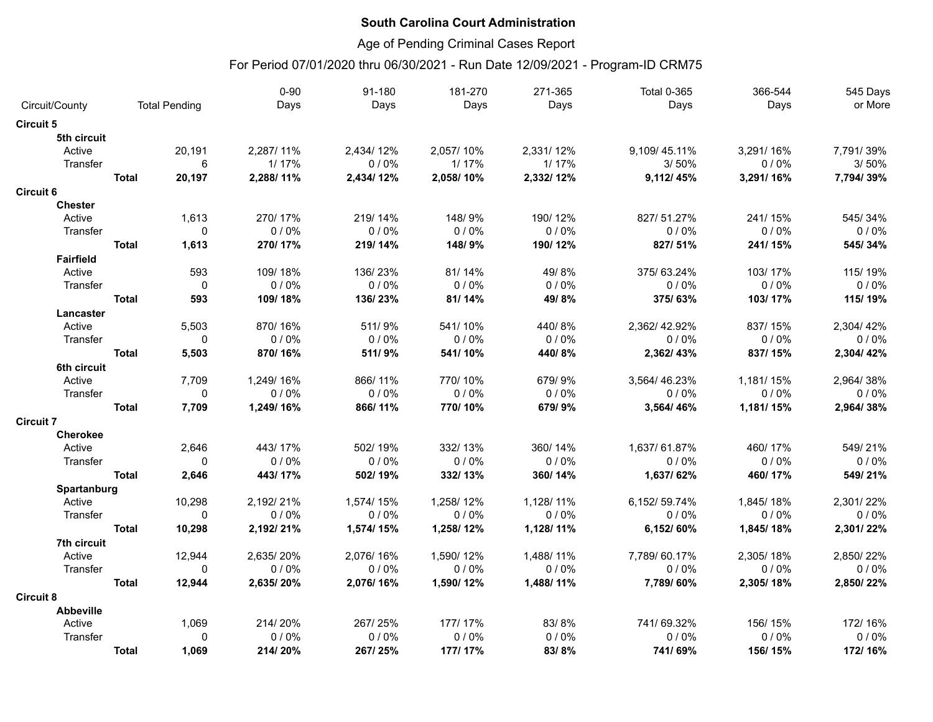## Age of Pending Criminal Cases Report

|                  |              |                      | $0 - 90$  | 91-180    | 181-270   | 271-365   | <b>Total 0-365</b> | 366-544   | 545 Days  |
|------------------|--------------|----------------------|-----------|-----------|-----------|-----------|--------------------|-----------|-----------|
| Circuit/County   |              | <b>Total Pending</b> | Days      | Days      | Days      | Days      | Days               | Days      | or More   |
| <b>Circuit 5</b> |              |                      |           |           |           |           |                    |           |           |
| 5th circuit      |              |                      |           |           |           |           |                    |           |           |
| Active           |              | 20,191               | 2,287/11% | 2,434/12% | 2,057/10% | 2,331/12% | 9,109/45.11%       | 3,291/16% | 7,791/39% |
| Transfer         |              | 6                    | 1/17%     | 0/0%      | 1/17%     | 1/17%     | 3/50%              | 0/0%      | 3/50%     |
|                  | <b>Total</b> | 20,197               | 2,288/11% | 2,434/12% | 2,058/10% | 2,332/12% | 9,112/45%          | 3,291/16% | 7,794/39% |
| <b>Circuit 6</b> |              |                      |           |           |           |           |                    |           |           |
| <b>Chester</b>   |              |                      |           |           |           |           |                    |           |           |
| Active           |              | 1,613                | 270/17%   | 219/14%   | 148/9%    | 190/12%   | 827/51.27%         | 241/15%   | 545/34%   |
| Transfer         |              | $\mathbf 0$          | 0/0%      | 0/0%      | 0/0%      | 0/0%      | 0/0%               | $0/0\%$   | 0/0%      |
|                  | <b>Total</b> | 1,613                | 270/17%   | 219/14%   | 148/9%    | 190/12%   | 827/51%            | 241/15%   | 545/34%   |
| <b>Fairfield</b> |              |                      |           |           |           |           |                    |           |           |
| Active           |              | 593                  | 109/18%   | 136/23%   | 81/14%    | 49/8%     | 375/63.24%         | 103/17%   | 115/19%   |
| Transfer         |              | 0                    | 0/0%      | 0/0%      | 0/0%      | 0/0%      | $0/0\%$            | 0/0%      | $0/0\%$   |
|                  | <b>Total</b> | 593                  | 109/18%   | 136/23%   | 81/14%    | 49/8%     | 375/63%            | 103/17%   | 115/19%   |
| Lancaster        |              |                      |           |           |           |           |                    |           |           |
| Active           |              | 5,503                | 870/16%   | 511/9%    | 541/10%   | 440/8%    | 2,362/42.92%       | 837/15%   | 2,304/42% |
| Transfer         |              | $\mathbf{0}$         | 0/0%      | 0/0%      | 0/0%      | 0/0%      | $0/0\%$            | 0/0%      | 0/0%      |
|                  | <b>Total</b> | 5,503                | 870/16%   | 511/9%    | 541/10%   | 440/8%    | 2,362/43%          | 837/15%   | 2,304/42% |
| 6th circuit      |              |                      |           |           |           |           |                    |           |           |
| Active           |              | 7,709                | 1,249/16% | 866/11%   | 770/10%   | 679/9%    | 3,564/46.23%       | 1,181/15% | 2,964/38% |
| Transfer         |              | $\mathbf 0$          | 0/0%      | 0/0%      | 0/0%      | 0/0%      | 0/0%               | 0/0%      | 0/0%      |
|                  | <b>Total</b> | 7,709                | 1,249/16% | 866/11%   | 770/10%   | 679/9%    | 3,564/46%          | 1,181/15% | 2,964/38% |
| <b>Circuit 7</b> |              |                      |           |           |           |           |                    |           |           |
| <b>Cherokee</b>  |              |                      |           |           |           |           |                    |           |           |
| Active           |              | 2,646                | 443/17%   | 502/19%   | 332/13%   | 360/14%   | 1,637/61.87%       | 460/17%   | 549/21%   |
| Transfer         |              | $\Omega$             | 0/0%      | 0/0%      | 0/0%      | 0/0%      | 0/0%               | 0/0%      | 0/0%      |
|                  | <b>Total</b> | 2,646                | 443/17%   | 502/19%   | 332/13%   | 360/14%   | 1,637/62%          | 460/17%   | 549/21%   |
| Spartanburg      |              |                      |           |           |           |           |                    |           |           |
| Active           |              | 10,298               | 2,192/21% | 1,574/15% | 1,258/12% | 1,128/11% | 6,152/59.74%       | 1,845/18% | 2,301/22% |
| Transfer         |              | $\Omega$             | 0/0%      | 0/0%      | 0/0%      | 0/0%      | 0/0%               | 0/0%      | 0/0%      |
|                  | <b>Total</b> | 10,298               | 2,192/21% | 1,574/15% | 1,258/12% | 1,128/11% | 6,152/60%          | 1,845/18% | 2,301/22% |
| 7th circuit      |              |                      |           |           |           |           |                    |           |           |
| Active           |              | 12,944               | 2,635/20% | 2,076/16% | 1,590/12% | 1,488/11% | 7,789/60.17%       | 2,305/18% | 2,850/22% |
| Transfer         |              | $\mathbf{0}$         | 0/0%      | 0/0%      | 0/0%      | 0/0%      | 0/0%               | 0/0%      | 0/0%      |
|                  | <b>Total</b> | 12,944               | 2,635/20% | 2,076/16% | 1,590/12% | 1,488/11% | 7,789/60%          | 2,305/18% | 2,850/22% |
| <b>Circuit 8</b> |              |                      |           |           |           |           |                    |           |           |
| <b>Abbeville</b> |              |                      |           |           |           |           |                    |           |           |
| Active           |              | 1,069                | 214/20%   | 267/25%   | 177/17%   | 83/8%     | 741/69.32%         | 156/15%   | 172/16%   |
| Transfer         |              | $\Omega$             | 0/0%      | 0/0%      | 0/0%      | 0/0%      | 0/0%               | $0/0\%$   | 0/0%      |
|                  | <b>Total</b> | 1,069                | 214/20%   | 267/25%   | 177/17%   | 83/8%     | 741/69%            | 156/15%   | 172/16%   |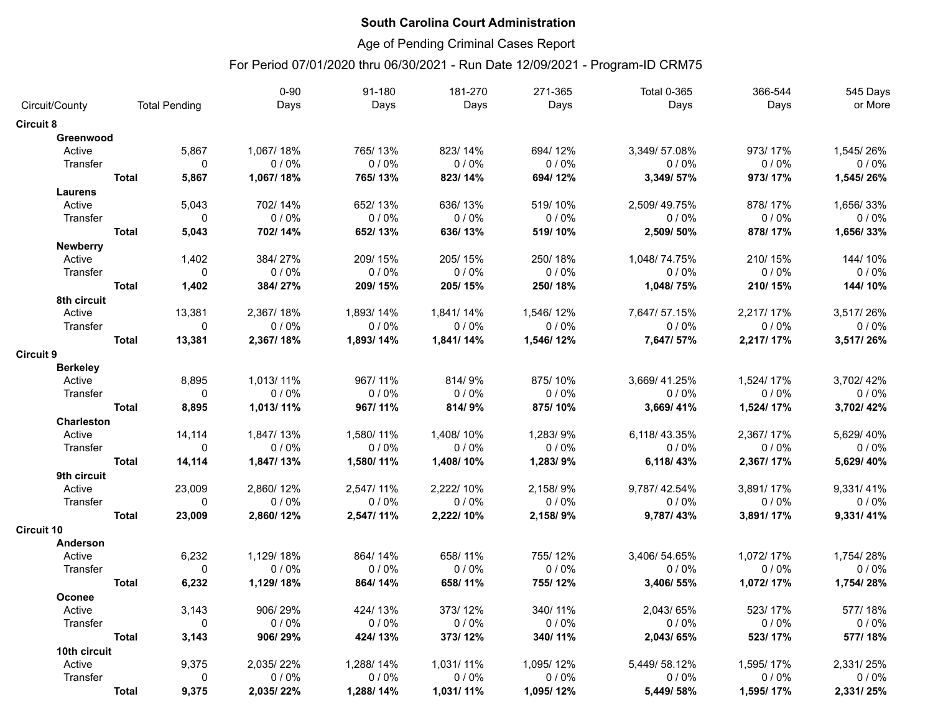## Age of Pending Criminal Cases Report

|                   |                      |              | $0 - 90$  | 91-180    | 181-270   | 271-365   | <b>Total 0-365</b> | 366-544   | 545 Days  |
|-------------------|----------------------|--------------|-----------|-----------|-----------|-----------|--------------------|-----------|-----------|
| Circuit/County    | <b>Total Pending</b> |              | Days      | Days      | Days      | Days      | Days               | Days      | or More   |
| <b>Circuit 8</b>  |                      |              |           |           |           |           |                    |           |           |
| Greenwood         |                      |              |           |           |           |           |                    |           |           |
| Active            |                      | 5.867        | 1.067/18% | 765/13%   | 823/14%   | 694/12%   | 3.349/57.08%       | 973/17%   | 1.545/26% |
| Transfer          |                      | $\Omega$     | 0/0%      | 0/0%      | 0/0%      | 0/0%      | 0/0%               | 0/0%      | 0/0%      |
|                   | <b>Total</b>         | 5,867        | 1,067/18% | 765/13%   | 823/14%   | 694/12%   | 3,349/57%          | 973/17%   | 1,545/26% |
| Laurens           |                      |              |           |           |           |           |                    |           |           |
| Active            |                      | 5,043        | 702/14%   | 652/13%   | 636/13%   | 519/10%   | 2.509/49.75%       | 878/17%   | 1,656/33% |
| Transfer          |                      | $\mathbf 0$  | 0/0%      | 0/0%      | 0/0%      | 0/0%      | 0/0%               | 0/0%      | 0/0%      |
|                   | <b>Total</b>         | 5,043        | 702/14%   | 652/13%   | 636/13%   | 519/10%   | 2,509/50%          | 878/17%   | 1,656/33% |
| <b>Newberry</b>   |                      |              |           |           |           |           |                    |           |           |
| Active            |                      | 1,402        | 384/27%   | 209/15%   | 205/15%   | 250/18%   | 1,048/74.75%       | 210/15%   | 144/10%   |
| Transfer          |                      | $\Omega$     | 0/0%      | 0/0%      | 0/0%      | 0/0%      | 0/0%               | 0/0%      | 0/0%      |
|                   | <b>Total</b>         | 1,402        | 384/27%   | 209/15%   | 205/15%   | 250/18%   | 1,048/75%          | 210/15%   | 144/10%   |
| 8th circuit       |                      |              |           |           |           |           |                    |           |           |
| Active            |                      | 13,381       | 2,367/18% | 1,893/14% | 1,841/14% | 1,546/12% | 7,647/57.15%       | 2,217/17% | 3,517/26% |
| Transfer          |                      | $\Omega$     | 0/0%      | 0/0%      | 0/0%      | 0/0%      | 0/0%               | 0/0%      | 0/0%      |
|                   | <b>Total</b>         | 13,381       | 2,367/18% | 1,893/14% | 1,841/14% | 1,546/12% | 7,647/57%          | 2,217/17% | 3,517/26% |
| <b>Circuit 9</b>  |                      |              |           |           |           |           |                    |           |           |
| <b>Berkelev</b>   |                      |              |           |           |           |           |                    |           |           |
| Active            |                      | 8,895        | 1,013/11% | 967/11%   | 814/9%    | 875/10%   | 3,669/41.25%       | 1,524/17% | 3,702/42% |
| Transfer          |                      | $\mathbf 0$  | 0/0%      | 0/0%      | 0/0%      | 0/0%      | 0/0%               | 0/0%      | 0/0%      |
|                   | <b>Total</b>         | 8,895        | 1,013/11% | 967/11%   | 814/9%    | 875/10%   | 3,669/41%          | 1,524/17% | 3,702/42% |
| <b>Charleston</b> |                      |              |           |           |           |           |                    |           |           |
| Active            |                      | 14,114       | 1,847/13% | 1,580/11% | 1,408/10% | 1.283/9%  | 6,118/43.35%       | 2,367/17% | 5,629/40% |
| Transfer          |                      | $\mathbf{0}$ | 0/0%      | 0/0%      | 0/0%      | 0/0%      | 0/0%               | $0/0\%$   | $0/0\%$   |
|                   | <b>Total</b>         | 14,114       | 1,847/13% | 1,580/11% | 1,408/10% | 1,283/9%  | 6,118/43%          | 2,367/17% | 5,629/40% |
| 9th circuit       |                      |              |           |           |           |           |                    |           |           |
| Active            |                      | 23,009       | 2,860/12% | 2,547/11% | 2,222/10% | 2,158/9%  | 9,787/42.54%       | 3,891/17% | 9,331/41% |
| Transfer          |                      | $\mathbf 0$  | 0/0%      | 0/0%      | 0/0%      | 0/0%      | 0/0%               | 0/0%      | 0/0%      |
|                   | <b>Total</b>         | 23,009       | 2,860/12% | 2,547/11% | 2,222/10% | 2,158/9%  | 9,787/43%          | 3,891/17% | 9,331/41% |
| <b>Circuit 10</b> |                      |              |           |           |           |           |                    |           |           |
| Anderson          |                      |              |           |           |           |           |                    |           |           |
| Active            |                      | 6,232        | 1,129/18% | 864/14%   | 658/11%   | 755/12%   | 3,406/54.65%       | 1,072/17% | 1,754/28% |
| Transfer          |                      | $\mathbf{0}$ | 0/0%      | 0/0%      | 0/0%      | 0/0%      | 0/0%               | 0/0%      | 0/0%      |
|                   | <b>Total</b>         | 6,232        | 1,129/18% | 864/14%   | 658/11%   | 755/12%   | 3,406/55%          | 1,072/17% | 1,754/28% |
| Oconee            |                      |              |           |           |           |           |                    |           |           |
| Active            |                      | 3,143        | 906/29%   | 424/13%   | 373/12%   | 340/11%   | 2,043/65%          | 523/17%   | 577/18%   |
| Transfer          |                      | $\mathbf{0}$ | 0/0%      | 0/0%      | 0/0%      | 0/0%      | 0/0%               | 0/0%      | 0/0%      |
|                   | <b>Total</b>         | 3,143        | 906/29%   | 424/13%   | 373/12%   | 340/11%   | 2,043/65%          | 523/17%   | 577/18%   |
| 10th circuit      |                      |              |           |           |           |           |                    |           |           |
| Active            |                      | 9,375        | 2,035/22% | 1,288/14% | 1,031/11% | 1,095/12% | 5,449/58.12%       | 1,595/17% | 2,331/25% |
| Transfer          |                      | $\mathbf 0$  | 0/0%      | 0/0%      | 0/0%      | 0/0%      | 0/0%               | 0/0%      | 0/0%      |
|                   | <b>Total</b>         | 9,375        | 2,035/22% | 1,288/14% | 1,031/11% | 1,095/12% | 5,449/58%          | 1,595/17% | 2,331/25% |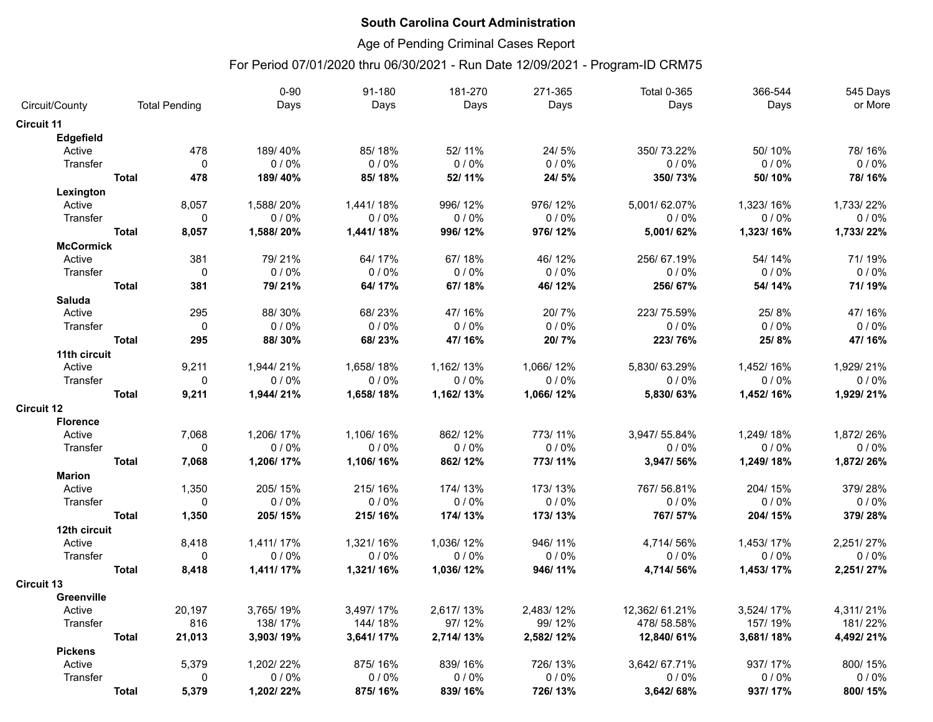## Age of Pending Criminal Cases Report

|                   |              |                      | $0 - 90$  | 91-180    | 181-270   | 271-365   | <b>Total 0-365</b> | 366-544   | 545 Days  |
|-------------------|--------------|----------------------|-----------|-----------|-----------|-----------|--------------------|-----------|-----------|
| Circuit/County    |              | <b>Total Pending</b> | Days      | Days      | Days      | Days      | Days               | Days      | or More   |
| <b>Circuit 11</b> |              |                      |           |           |           |           |                    |           |           |
| <b>Edgefield</b>  |              |                      |           |           |           |           |                    |           |           |
| Active            |              | 478                  | 189/40%   | 85/18%    | 52/11%    | 24/5%     | 350/73.22%         | 50/10%    | 78/16%    |
| Transfer          |              | $\mathbf{0}$         | $0/0\%$   | 0/0%      | 0/0%      | 0/0%      | 0/0%               | 0/0%      | 0/0%      |
|                   | <b>Total</b> | 478                  | 189/40%   | 85/18%    | 52/11%    | 24/5%     | 350/73%            | 50/10%    | 78/16%    |
| Lexington         |              |                      |           |           |           |           |                    |           |           |
| Active            |              | 8,057                | 1,588/20% | 1,441/18% | 996/12%   | 976/12%   | 5,001/62.07%       | 1,323/16% | 1,733/22% |
| Transfer          |              | 0                    | 0/0%      | 0/0%      | 0/0%      | 0/0%      | 0/0%               | 0/0%      | 0/0%      |
|                   | <b>Total</b> | 8,057                | 1,588/20% | 1,441/18% | 996/12%   | 976/12%   | 5,001/62%          | 1,323/16% | 1,733/22% |
| <b>McCormick</b>  |              |                      |           |           |           |           |                    |           |           |
| Active            |              | 381                  | 79/21%    | 64/17%    | 67/18%    | 46/12%    | 256/67.19%         | 54/14%    | 71/19%    |
| Transfer          |              | $\mathbf 0$          | $0/0\%$   | 0/0%      | 0/0%      | 0/0%      | 0/0%               | 0/0%      | 0/0%      |
|                   | <b>Total</b> | 381                  | 79/21%    | 64/17%    | 67/18%    | 46/12%    | 256/67%            | 54/14%    | 71/19%    |
| <b>Saluda</b>     |              |                      |           |           |           |           |                    |           |           |
| Active            |              | 295                  | 88/30%    | 68/23%    | 47/16%    | 20/7%     | 223/75.59%         | 25/8%     | 47/16%    |
| Transfer          |              | $\mathbf 0$          | 0/0%      | 0/0%      | 0/0%      | 0/0%      | 0/0%               | 0/0%      | 0/0%      |
|                   | <b>Total</b> | 295                  | 88/30%    | 68/23%    | 47/16%    | 20/7%     | 223/76%            | 25/8%     | 47/16%    |
| 11th circuit      |              |                      |           |           |           |           |                    |           |           |
| Active            |              | 9,211                | 1,944/21% | 1,658/18% | 1,162/13% | 1,066/12% | 5,830/63.29%       | 1,452/16% | 1,929/21% |
| Transfer          |              | $\mathbf 0$          | 0/0%      | 0/0%      | 0/0%      | 0/0%      | 0/0%               | 0/0%      | 0/0%      |
|                   | <b>Total</b> | 9,211                | 1,944/21% | 1,658/18% | 1,162/13% | 1,066/12% | 5,830/63%          | 1,452/16% | 1,929/21% |
| <b>Circuit 12</b> |              |                      |           |           |           |           |                    |           |           |
| <b>Florence</b>   |              |                      |           |           |           |           |                    |           |           |
| Active            |              | 7,068                | 1,206/17% | 1,106/16% | 862/12%   | 773/11%   | 3,947/55.84%       | 1,249/18% | 1,872/26% |
| Transfer          |              | 0                    | 0/0%      | 0/0%      | 0/0%      | 0/0%      | 0/0%               | 0/0%      | 0/0%      |
|                   | <b>Total</b> | 7,068                | 1,206/17% | 1,106/16% | 862/12%   | 773/11%   | 3,947/56%          | 1,249/18% | 1,872/26% |
| <b>Marion</b>     |              |                      |           |           |           |           |                    |           |           |
| Active            |              | 1,350                | 205/15%   | 215/16%   | 174/13%   | 173/13%   | 767/56.81%         | 204/15%   | 379/28%   |
| Transfer          |              | $\mathbf 0$          | $0/0\%$   | 0/0%      | 0/0%      | 0/0%      | 0/0%               | $0/0\%$   | 0/0%      |
|                   | <b>Total</b> | 1,350                | 205/15%   | 215/16%   | 174/13%   | 173/13%   | 767/57%            | 204/15%   | 379/28%   |
| 12th circuit      |              |                      |           |           |           |           |                    |           |           |
| Active            |              | 8,418                | 1,411/17% | 1,321/16% | 1,036/12% | 946/11%   | 4,714/56%          | 1,453/17% | 2,251/27% |
| Transfer          |              | 0                    | 0/0%      | 0/0%      | 0/0%      | 0/0%      | 0/0%               | 0/0%      | 0/0%      |
|                   | <b>Total</b> | 8,418                | 1,411/17% | 1,321/16% | 1,036/12% | 946/11%   | 4,714/56%          | 1,453/17% | 2,251/27% |
| <b>Circuit 13</b> |              |                      |           |           |           |           |                    |           |           |
| <b>Greenville</b> |              |                      |           |           |           |           |                    |           |           |
| Active            |              | 20,197               | 3,765/19% | 3,497/17% | 2,617/13% | 2,483/12% | 12,362/61.21%      | 3,524/17% | 4,311/21% |
| Transfer          |              | 816                  | 138/17%   | 144/18%   | 97/12%    | 99/12%    | 478/58.58%         | 157/19%   | 181/22%   |
|                   | <b>Total</b> | 21,013               | 3,903/19% | 3,641/17% | 2,714/13% | 2,582/12% | 12,840/61%         | 3,681/18% | 4,492/21% |
| <b>Pickens</b>    |              |                      |           |           |           |           |                    |           |           |
| Active            |              | 5,379                | 1,202/22% | 875/16%   | 839/16%   | 726/13%   | 3.642/67.71%       | 937/17%   | 800/15%   |
| Transfer          |              | 0                    | 0/0%      | 0/0%      | 0/0%      | 0/0%      | 0/0%               | $0/0\%$   | $0/0\%$   |
|                   | <b>Total</b> | 5,379                | 1,202/22% | 875/16%   | 839/16%   | 726/13%   | 3,642/68%          | 937/17%   | 800/15%   |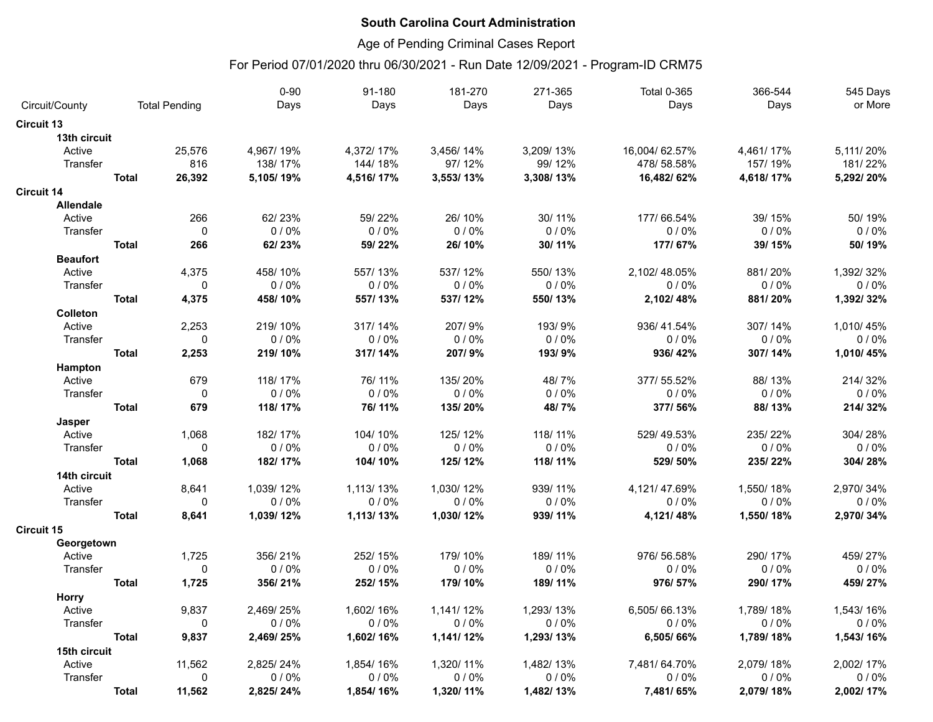## Age of Pending Criminal Cases Report

|                   |              |                      | $0 - 90$  | 91-180    | 181-270   | 271-365   | <b>Total 0-365</b> | 366-544   | 545 Days  |
|-------------------|--------------|----------------------|-----------|-----------|-----------|-----------|--------------------|-----------|-----------|
| Circuit/County    |              | <b>Total Pending</b> | Days      | Days      | Days      | Days      | Days               | Days      | or More   |
| <b>Circuit 13</b> |              |                      |           |           |           |           |                    |           |           |
| 13th circuit      |              |                      |           |           |           |           |                    |           |           |
| Active            |              | 25,576               | 4,967/19% | 4,372/17% | 3,456/14% | 3,209/13% | 16,004/62.57%      | 4,461/17% | 5,111/20% |
| Transfer          |              | 816                  | 138/17%   | 144/18%   | 97/12%    | 99/12%    | 478/58.58%         | 157/19%   | 181/22%   |
|                   | <b>Total</b> | 26,392               | 5,105/19% | 4,516/17% | 3,553/13% | 3,308/13% | 16,482/62%         | 4,618/17% | 5,292/20% |
| <b>Circuit 14</b> |              |                      |           |           |           |           |                    |           |           |
| <b>Allendale</b>  |              |                      |           |           |           |           |                    |           |           |
| Active            |              | 266                  | 62/23%    | 59/22%    | 26/10%    | 30/11%    | 177/66.54%         | 39/15%    | 50/19%    |
| Transfer          |              | $\mathbf 0$          | 0/0%      | 0/0%      | 0/0%      | 0/0%      | 0/0%               | 0/0%      | 0/0%      |
|                   | <b>Total</b> | 266                  | 62/23%    | 59/22%    | 26/10%    | 30/11%    | 177/67%            | 39/15%    | 50/19%    |
| <b>Beaufort</b>   |              |                      |           |           |           |           |                    |           |           |
| Active            |              | 4,375                | 458/10%   | 557/13%   | 537/12%   | 550/13%   | 2,102/48.05%       | 881/20%   | 1,392/32% |
| Transfer          |              | $\mathbf 0$          | 0/0%      | 0/0%      | 0/0%      | 0/0%      | 0/0%               | 0/0%      | 0/0%      |
|                   | <b>Total</b> | 4,375                | 458/10%   | 557/13%   | 537/12%   | 550/13%   | 2,102/48%          | 881/20%   | 1,392/32% |
| Colleton          |              |                      |           |           |           |           |                    |           |           |
| Active            |              | 2,253                | 219/10%   | 317/14%   | 207/9%    | 193/9%    | 936/41.54%         | 307/14%   | 1.010/45% |
| Transfer          |              | $\mathbf{0}$         | 0/0%      | 0/0%      | $0/0\%$   | $0/0\%$   | $0/0\%$            | 0/0%      | 0/0%      |
|                   | <b>Total</b> | 2,253                | 219/10%   | 317/14%   | 207/9%    | 193/9%    | 936/42%            | 307/14%   | 1,010/45% |
| Hampton           |              |                      |           |           |           |           |                    |           |           |
| Active            |              | 679                  | 118/17%   | 76/11%    | 135/20%   | 48/7%     | 377/55.52%         | 88/13%    | 214/32%   |
| Transfer          |              | $\mathbf 0$          | 0/0%      | 0/0%      | 0/0%      | 0/0%      | 0/0%               | 0/0%      | 0/0%      |
|                   | <b>Total</b> | 679                  | 118/17%   | 76/11%    | 135/20%   | 48/7%     | 377/56%            | 88/13%    | 214/32%   |
| Jasper            |              |                      |           |           |           |           |                    |           |           |
| Active            |              | 1,068                | 182/17%   | 104/10%   | 125/12%   | 118/11%   | 529/49.53%         | 235/22%   | 304/28%   |
| Transfer          |              | $\mathbf 0$          | 0/0%      | 0/0%      | 0/0%      | 0/0%      | 0/0%               | 0/0%      | 0/0%      |
|                   | <b>Total</b> | 1,068                | 182/17%   | 104/10%   | 125/12%   | 118/11%   | 529/50%            | 235/22%   | 304/28%   |
| 14th circuit      |              |                      |           |           |           |           |                    |           |           |
| Active            |              | 8,641                | 1,039/12% | 1,113/13% | 1,030/12% | 939/11%   | 4,121/47.69%       | 1,550/18% | 2.970/34% |
| Transfer          |              | $\mathbf 0$          | 0/0%      | 0/0%      | 0/0%      | $0/0\%$   | $0/0\%$            | 0/0%      | 0/0%      |
|                   | <b>Total</b> | 8,641                | 1,039/12% | 1,113/13% | 1,030/12% | 939/11%   | 4,121/48%          | 1,550/18% | 2,970/34% |
| <b>Circuit 15</b> |              |                      |           |           |           |           |                    |           |           |
| Georgetown        |              |                      |           |           |           |           |                    |           |           |
| Active            |              | 1,725                | 356/21%   | 252/15%   | 179/10%   | 189/11%   | 976/56.58%         | 290/17%   | 459/27%   |
| Transfer          |              | 0                    | 0/0%      | 0/0%      | 0/0%      | 0/0%      | 0/0%               | 0/0%      | 0/0%      |
|                   | <b>Total</b> | 1,725                | 356/21%   | 252/15%   | 179/10%   | 189/11%   | 976/57%            | 290/17%   | 459/27%   |
| <b>Horry</b>      |              |                      |           |           |           |           |                    |           |           |
| Active            |              | 9,837                | 2,469/25% | 1,602/16% | 1,141/12% | 1,293/13% | 6,505/66.13%       | 1,789/18% | 1,543/16% |
| Transfer          |              | $\mathbf 0$          | 0/0%      | 0/0%      | 0/0%      | 0/0%      | 0/0%               | 0/0%      | 0/0%      |
|                   | <b>Total</b> | 9,837                | 2,469/25% | 1,602/16% | 1,141/12% | 1,293/13% | 6,505/66%          | 1,789/18% | 1,543/16% |
| 15th circuit      |              |                      |           |           |           |           |                    |           |           |
| Active            |              | 11,562               | 2,825/24% | 1,854/16% | 1,320/11% | 1,482/13% | 7.481/64.70%       | 2,079/18% | 2,002/17% |
| Transfer          |              | $\mathbf 0$          | 0/0%      | 0/0%      | 0/0%      | 0/0%      | 0/0%               | 0/0%      | 0/0%      |
|                   | <b>Total</b> | 11,562               | 2,825/24% | 1,854/16% | 1,320/11% | 1,482/13% | 7,481/65%          | 2,079/18% | 2,002/17% |